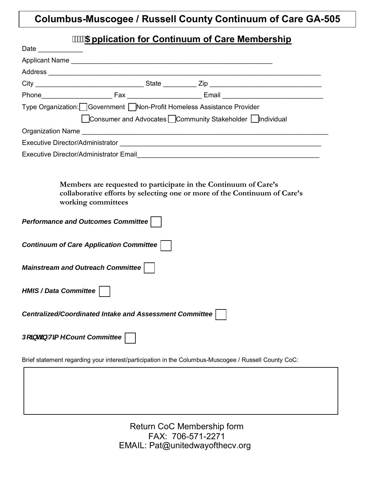# **Columbus-Muscogee / Russell County Continuum of Care GA-505**

# **\$pplication for Continuum of Care Membership**

| Date ______________                                                                                  |  |                                                                 |                                                                           |  |
|------------------------------------------------------------------------------------------------------|--|-----------------------------------------------------------------|---------------------------------------------------------------------------|--|
| Applicant Name                                                                                       |  |                                                                 |                                                                           |  |
|                                                                                                      |  |                                                                 |                                                                           |  |
|                                                                                                      |  |                                                                 |                                                                           |  |
|                                                                                                      |  |                                                                 |                                                                           |  |
| Type Organization: Government Mon-Profit Homeless Assistance Provider                                |  |                                                                 |                                                                           |  |
|                                                                                                      |  | □ Consumer and Advocates □ Community Stakeholder □ Individual   |                                                                           |  |
|                                                                                                      |  |                                                                 |                                                                           |  |
|                                                                                                      |  |                                                                 |                                                                           |  |
|                                                                                                      |  |                                                                 |                                                                           |  |
| working committees                                                                                   |  | Members are requested to participate in the Continuum of Care's | collaborative efforts by selecting one or more of the Continuum of Care's |  |
|                                                                                                      |  |                                                                 |                                                                           |  |
| <b>Performance and Outcomes Committee</b>                                                            |  |                                                                 |                                                                           |  |
| Continuum of Care Application Committee                                                              |  |                                                                 |                                                                           |  |
| <b>Mainstream and Outreach Committee</b>                                                             |  |                                                                 |                                                                           |  |
| <b>HMIS / Data Committee</b>                                                                         |  |                                                                 |                                                                           |  |
| Centralized/Coordinated Intake and Assessment Committee                                              |  |                                                                 |                                                                           |  |
| Dc]bh]b H]a Y Count Committee                                                                        |  |                                                                 |                                                                           |  |
| Brief statement regarding your interest/participation in the Columbus-Muscogee / Russell County CoC: |  |                                                                 |                                                                           |  |
|                                                                                                      |  |                                                                 |                                                                           |  |
|                                                                                                      |  |                                                                 |                                                                           |  |
|                                                                                                      |  |                                                                 |                                                                           |  |

Return CoC Membership form FAX: 706-571-2271 EMAIL: Pat@unitedwayofthecv.org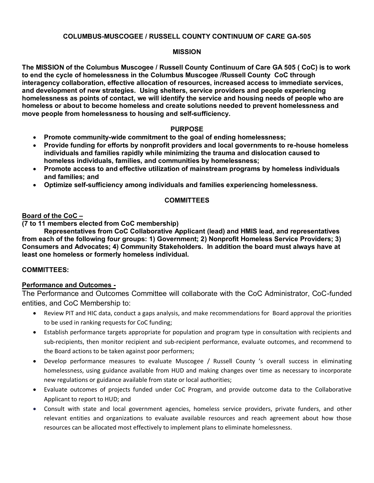## **COLUMBUS-MUSCOGEE / RUSSELL COUNTY CONTINUUM OF CARE GA-505**

#### **MISSION**

**The MISSION of the Columbus Muscogee / Russell County Continuum of Care GA 505 ( CoC) is to work to end the cycle of homelessness in the Columbus Muscogee /Russell County CoC through interagency collaboration, effective allocation of resources, increased access to immediate services, and development of new strategies. Using shelters, service providers and people experiencing homelessness as points of contact, we will identify the service and housing needs of people who are homeless or about to become homeless and create solutions needed to prevent homelessness and move people from homelessness to housing and self-sufficiency.** 

#### **PURPOSE**

- **Promote community-wide commitment to the goal of ending homelessness;**
- **Provide funding for efforts by nonprofit providers and local governments to re-house homeless individuals and families rapidly while minimizing the trauma and dislocation caused to homeless individuals, families, and communities by homelessness;**
- **Promote access to and effective utilization of mainstream programs by homeless individuals and families; and**
- **Optimize self-sufficiency among individuals and families experiencing homelessness.**

#### **COMMITTEES**

## **Board of the CoC –**

**(7 to 11 members elected from CoC membership)** 

 **Representatives from CoC Collaborative Applicant (lead) and HMIS lead, and representatives from each of the following four groups: 1) Government; 2) Nonprofit Homeless Service Providers; 3) Consumers and Advocates; 4) Community Stakeholders. In addition the board must always have at least one homeless or formerly homeless individual.** 

## **COMMITTEES:**

## **Performance and Outcomes -**

The Performance and Outcomes Committee will collaborate with the CoC Administrator, CoC-funded entities, and CoC Membership to:

- Review PIT and HIC data, conduct a gaps analysis, and make recommendations for Board approval the priorities to be used in ranking requests for CoC funding;
- Establish performance targets appropriate for population and program type in consultation with recipients and sub-recipients, then monitor recipient and sub-recipient performance, evaluate outcomes, and recommend to the Board actions to be taken against poor performers;
- Develop performance measures to evaluate Muscogee / Russell County 's overall success in eliminating homelessness, using guidance available from HUD and making changes over time as necessary to incorporate new regulations or guidance available from state or local authorities;
- Evaluate outcomes of projects funded under CoC Program, and provide outcome data to the Collaborative Applicant to report to HUD; and
- Consult with state and local government agencies, homeless service providers, private funders, and other relevant entities and organizations to evaluate available resources and reach agreement about how those resources can be allocated most effectively to implement plans to eliminate homelessness.